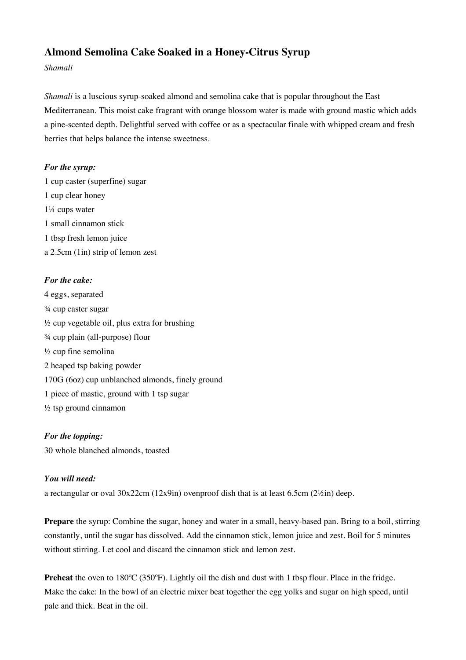# **Almond Semolina Cake Soaked in a Honey-Citrus Syrup**

*Shamali*

*Shamali* is a luscious syrup-soaked almond and semolina cake that is popular throughout the East Mediterranean. This moist cake fragrant with orange blossom water is made with ground mastic which adds a pine-scented depth. Delightful served with coffee or as a spectacular finale with whipped cream and fresh berries that helps balance the intense sweetness.

#### *For the syrup:*

1 cup caster (superfine) sugar 1 cup clear honey 1¼ cups water 1 small cinnamon stick 1 tbsp fresh lemon juice a 2.5cm (1in) strip of lemon zest

## *For the cake:*

4 eggs, separated ¾ cup caster sugar  $\frac{1}{2}$  cup vegetable oil, plus extra for brushing ¾ cup plain (all-purpose) flour ½ cup fine semolina 2 heaped tsp baking powder 170G (6oz) cup unblanched almonds, finely ground 1 piece of mastic, ground with 1 tsp sugar ½ tsp ground cinnamon

## *For the topping:*

30 whole blanched almonds, toasted

## *You will need:*

a rectangular or oval  $30x22$ cm ( $12x9$ in) ovenproof dish that is at least 6.5cm ( $2\frac{1}{2}$ in) deep.

**Prepare** the syrup: Combine the sugar, honey and water in a small, heavy-based pan. Bring to a boil, stirring constantly, until the sugar has dissolved. Add the cinnamon stick, lemon juice and zest. Boil for 5 minutes without stirring. Let cool and discard the cinnamon stick and lemon zest.

**Preheat** the oven to 180°C (350°F). Lightly oil the dish and dust with 1 tbsp flour. Place in the fridge. Make the cake: In the bowl of an electric mixer beat together the egg yolks and sugar on high speed, until pale and thick. Beat in the oil.